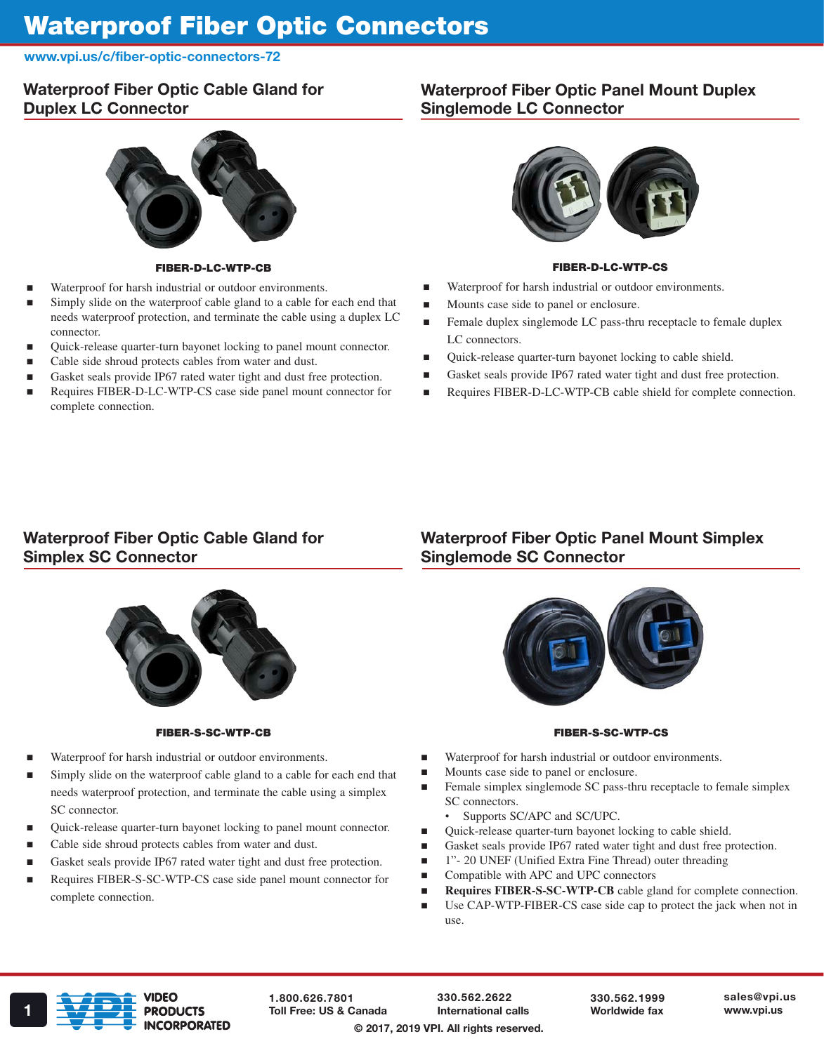# Waterproof Fiber Optic Connectors

www.vpi.us/c/fiber-optic-connectors-72

# Waterproof Fiber Optic Cable Gland for Duplex LC Connector

### FIBER-D-LC-WTP-CB

- Waterproof for harsh industrial or outdoor environments.
- Simply slide on the waterproof cable gland to a cable for each end that needs waterproof protection, and terminate the cable using a duplex LC connector.
- Quick-release quarter-turn bayonet locking to panel mount connector.
- Cable side shroud protects cables from water and dust.
- Gasket seals provide IP67 rated water tight and dust free protection.
- Requires FIBER-D-LC-WTP-CS case side panel mount connector for complete connection.

### Waterproof Fiber Optic Panel Mount Duplex Singlemode LC Connector



#### FIBER-D-LC-WTP-CS

- Waterproof for harsh industrial or outdoor environments.
- **Mounts case side to panel or enclosure.**
- **Female duplex singlemode LC pass-thru receptacle to female duplex** LC connectors.
- Quick-release quarter-turn bayonet locking to cable shield.
- Gasket seals provide IP67 rated water tight and dust free protection.
- Requires FIBER-D-LC-WTP-CB cable shield for complete connection.

# Waterproof Fiber Optic Cable Gland for Simplex SC Connector



#### FIBER-S-SC-WTP-CB

- Waterproof for harsh industrial or outdoor environments.
- Simply slide on the waterproof cable gland to a cable for each end that needs waterproof protection, and terminate the cable using a simplex SC connector.
- Quick-release quarter-turn bayonet locking to panel mount connector.
- Cable side shroud protects cables from water and dust.
- Gasket seals provide IP67 rated water tight and dust free protection.
- Requires FIBER-S-SC-WTP-CS case side panel mount connector for complete connection.

# Waterproof Fiber Optic Panel Mount Simplex Singlemode SC Connector



### FIBER-S-SC-WTP-CS

- Waterproof for harsh industrial or outdoor environments.
- **Mounts case side to panel or enclosure.**
- Female simplex singlemode SC pass-thru receptacle to female simplex SC connectors.
	- Supports SC/APC and SC/UPC.
- Quick-release quarter-turn bayonet locking to cable shield.
- Gasket seals provide IP67 rated water tight and dust free protection.
- 1"- 20 UNEF (Unified Extra Fine Thread) outer threading
- Compatible with APC and UPC connectors
- **Requires FIBER-S-SC-WTP-CB** cable gland for complete connection.
- Use CAP-WTP-FIBER-CS case side cap to protect the jack when not in use.



1.800.626.7801 Toll Free: US & Canada 1 Worldwide fax **No. 2018** PRODUCTS Toll Free: US & Canada International calls Worldwide fax www.vpi.us

330.562.2622 International calls

330.562.1999 Worldwide fax

© 2017, 2019 VPI. All rights reserved.